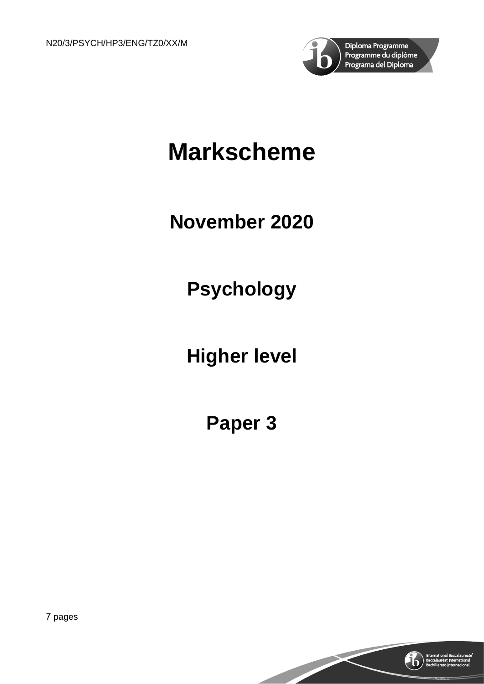

# **Markscheme**

## **November 2020**

## **Psychology**

## **Higher level**

## **Paper 3**

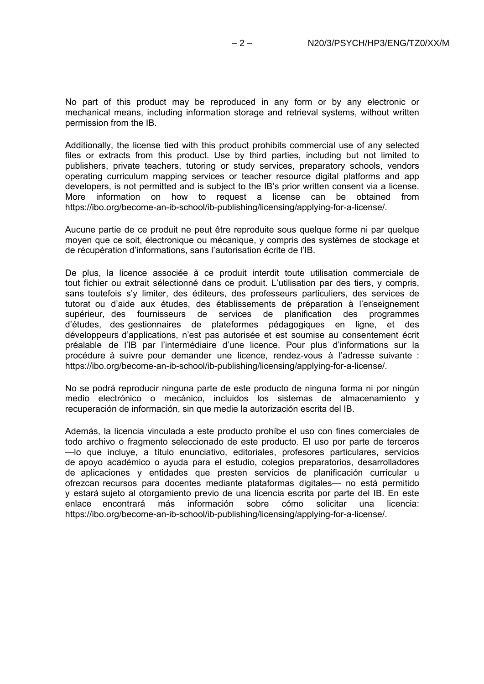No part of this product may be reproduced in any form or by any electronic or mechanical means, including information storage and retrieval systems, without written permission from the IB.

Additionally, the license tied with this product prohibits commercial use of any selected files or extracts from this product. Use by third parties, including but not limited to publishers, private teachers, tutoring or study services, preparatory schools, vendors operating curriculum mapping services or teacher resource digital platforms and app developers, is not permitted and is subject to the IB's prior written consent via a license. More information on how to request a license can be obtained from https://ibo.org/become-an-ib-school/ib-publishing/licensing/applying-for-a-license/.

Aucune partie de ce produit ne peut être reproduite sous quelque forme ni par quelque moyen que ce soit, électronique ou mécanique, y compris des systèmes de stockage et de récupération d'informations, sans l'autorisation écrite de l'IB.

De plus, la licence associée à ce produit interdit toute utilisation commerciale de tout fichier ou extrait sélectionné dans ce produit. L'utilisation par des tiers, y compris, sans toutefois s'y limiter, des éditeurs, des professeurs particuliers, des services de tutorat ou d'aide aux études, des établissements de préparation à l'enseignement supérieur, des fournisseurs de services de planification des programmes d'études, des gestionnaires de plateformes pédagogiques en ligne, et des développeurs d'applications, n'est pas autorisée et est soumise au consentement écrit préalable de l'IB par l'intermédiaire d'une licence. Pour plus d'informations sur la procédure à suivre pour demander une licence, rendez-vous à l'adresse suivante : https://ibo.org/become-an-ib-school/ib-publishing/licensing/applying-for-a-license/.

No se podrá reproducir ninguna parte de este producto de ninguna forma ni por ningún medio electrónico o mecánico, incluidos los sistemas de almacenamiento y recuperación de información, sin que medie la autorización escrita del IB.

Además, la licencia vinculada a este producto prohíbe el uso con fines comerciales de todo archivo o fragmento seleccionado de este producto. El uso por parte de terceros —lo que incluye, a título enunciativo, editoriales, profesores particulares, servicios de apoyo académico o ayuda para el estudio, colegios preparatorios, desarrolladores de aplicaciones y entidades que presten servicios de planificación curricular u ofrezcan recursos para docentes mediante plataformas digitales— no está permitido y estará sujeto al otorgamiento previo de una licencia escrita por parte del IB. En este<br>enlace encontrará más información sobre cómo solicitar una licencia: enlace encontrará más https://ibo.org/become-an-ib-school/ib-publishing/licensing/applying-for-a-license/.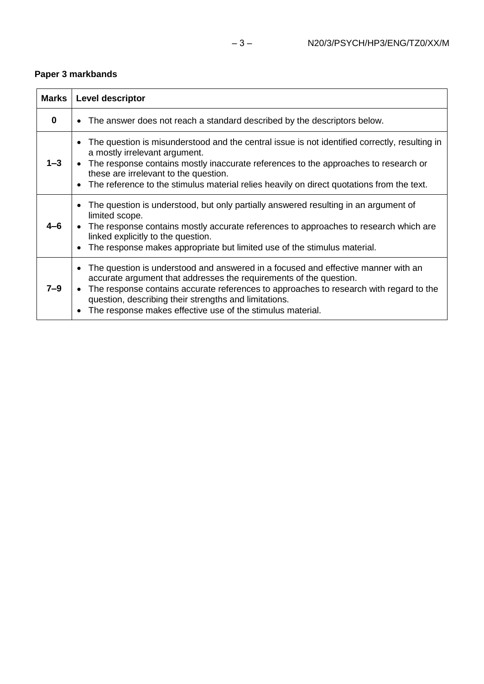### **Paper 3 markbands**

| <b>Marks</b> | Level descriptor                                                                                                                                                                                                                                                                                                                                                                      |
|--------------|---------------------------------------------------------------------------------------------------------------------------------------------------------------------------------------------------------------------------------------------------------------------------------------------------------------------------------------------------------------------------------------|
| $\bf{0}$     | • The answer does not reach a standard described by the descriptors below.                                                                                                                                                                                                                                                                                                            |
| $1 - 3$      | The question is misunderstood and the central issue is not identified correctly, resulting in<br>a mostly irrelevant argument.<br>• The response contains mostly inaccurate references to the approaches to research or<br>these are irrelevant to the question.<br>• The reference to the stimulus material relies heavily on direct quotations from the text.                       |
|              | The question is understood, but only partially answered resulting in an argument of<br>limited scope.<br>• The response contains mostly accurate references to approaches to research which are<br>linked explicitly to the question.<br>The response makes appropriate but limited use of the stimulus material.                                                                     |
| $7 - 9$      | The question is understood and answered in a focused and effective manner with an<br>$\bullet$<br>accurate argument that addresses the requirements of the question.<br>The response contains accurate references to approaches to research with regard to the<br>question, describing their strengths and limitations.<br>The response makes effective use of the stimulus material. |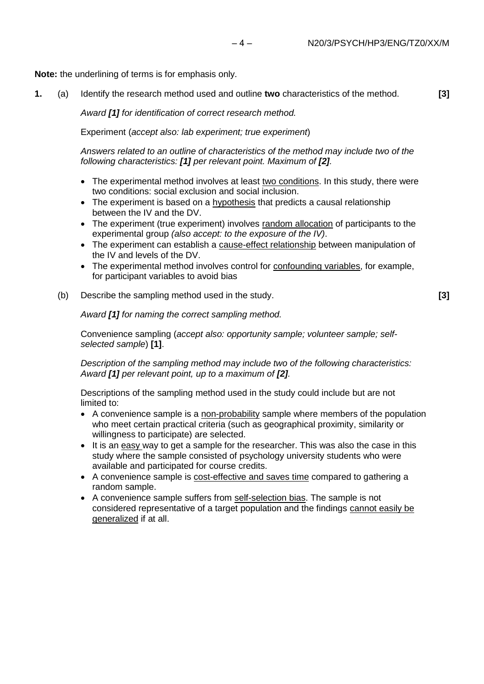**Note:** the underlining of terms is for emphasis only.

**1.** (a) Identify the research method used and outline **two** characteristics of the method. **[3]**

*Award [1] for identification of correct research method.*

Experiment (*accept also: lab experiment; true experiment*)

*Answers related to an outline of characteristics of the method may include two of the following characteristics: [1] per relevant point. Maximum of [2].*

- The experimental method involves at least two conditions. In this study, there were two conditions: social exclusion and social inclusion.
- The experiment is based on a hypothesis that predicts a causal relationship between the IV and the DV.
- The experiment (true experiment) involves random allocation of participants to the experimental group *(also accept: to the exposure of the IV)*.
- The experiment can establish a cause-effect relationship between manipulation of the IV and levels of the DV.
- The experimental method involves control for confounding variables, for example, for participant variables to avoid bias
- (b) Describe the sampling method used in the study. **[3]**

*Award [1] for naming the correct sampling method.*

Convenience sampling (*accept also: opportunity sample; volunteer sample; selfselected sample*) **[1]**.

*Description of the sampling method may include two of the following characteristics: Award [1] per relevant point, up to a maximum of [2].*

Descriptions of the sampling method used in the study could include but are not limited to:

- A convenience sample is a non-probability sample where members of the population who meet certain practical criteria (such as geographical proximity, similarity or willingness to participate) are selected.
- It is an easy way to get a sample for the researcher. This was also the case in this study where the sample consisted of psychology university students who were available and participated for course credits.
- A convenience sample is cost-effective and saves time compared to gathering a random sample.
- A convenience sample suffers from self-selection bias. The sample is not considered representative of a target population and the findings cannot easily be generalized if at all.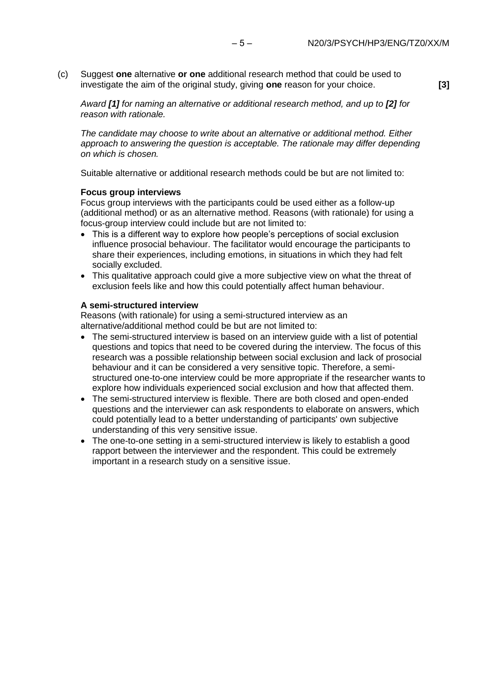(c) Suggest **one** alternative **or one** additional research method that could be used to investigate the aim of the original study, giving **one** reason for your choice. **[3]**

*Award [1] for naming an alternative or additional research method, and up to [2] for reason with rationale.*

*The candidate may choose to write about an alternative or additional method. Either approach to answering the question is acceptable. The rationale may differ depending on which is chosen.*

Suitable alternative or additional research methods could be but are not limited to:

### **Focus group interviews**

Focus group interviews with the participants could be used either as a follow-up (additional method) or as an alternative method. Reasons (with rationale) for using a focus-group interview could include but are not limited to:

- This is a different way to explore how people's perceptions of social exclusion influence prosocial behaviour. The facilitator would encourage the participants to share their experiences, including emotions, in situations in which they had felt socially excluded.
- This qualitative approach could give a more subjective view on what the threat of exclusion feels like and how this could potentially affect human behaviour.

### **A semi-structured interview**

Reasons (with rationale) for using a semi-structured interview as an alternative/additional method could be but are not limited to:

- The semi-structured interview is based on an interview guide with a list of potential questions and topics that need to be covered during the interview. The focus of this research was a possible relationship between social exclusion and lack of prosocial behaviour and it can be considered a very sensitive topic. Therefore, a semistructured one-to-one interview could be more appropriate if the researcher wants to explore how individuals experienced social exclusion and how that affected them.
- The semi-structured interview is flexible. There are both closed and open-ended questions and the interviewer can ask respondents to elaborate on answers, which could potentially lead to a better understanding of participants' own subjective understanding of this very sensitive issue.
- The one-to-one setting in a semi-structured interview is likely to establish a good rapport between the interviewer and the respondent. This could be extremely important in a research study on a sensitive issue.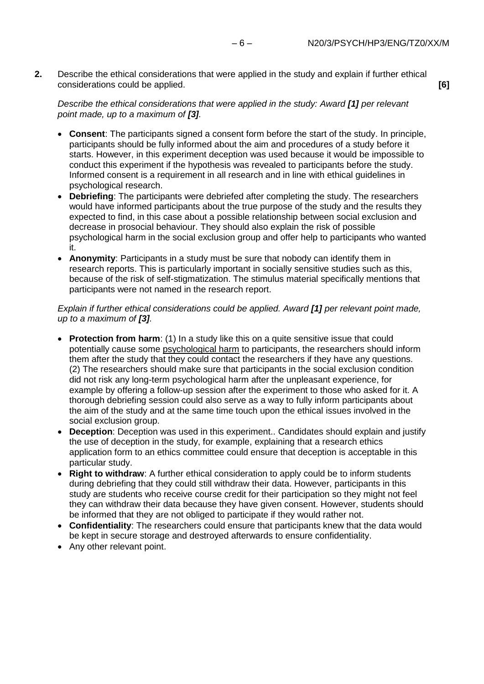**2.** Describe the ethical considerations that were applied in the study and explain if further ethical considerations could be applied. **[6]**

### *Describe the ethical considerations that were applied in the study: Award [1] per relevant point made, up to a maximum of [3].*

- **Consent**: The participants signed a consent form before the start of the study. In principle, participants should be fully informed about the aim and procedures of a study before it starts. However, in this experiment deception was used because it would be impossible to conduct this experiment if the hypothesis was revealed to participants before the study. Informed consent is a requirement in all research and in line with ethical guidelines in psychological research.
- **Debriefing**: The participants were debriefed after completing the study. The researchers would have informed participants about the true purpose of the study and the results they expected to find, in this case about a possible relationship between social exclusion and decrease in prosocial behaviour. They should also explain the risk of possible psychological harm in the social exclusion group and offer help to participants who wanted it.
- **Anonymity**: Participants in a study must be sure that nobody can identify them in research reports. This is particularly important in socially sensitive studies such as this, because of the risk of self-stigmatization. The stimulus material specifically mentions that participants were not named in the research report.

### *Explain if further ethical considerations could be applied. Award [1] per relevant point made, up to a maximum of [3].*

- **Protection from harm**: (1) In a study like this on a quite sensitive issue that could potentially cause some psychological harm to participants, the researchers should inform them after the study that they could contact the researchers if they have any questions. (2) The researchers should make sure that participants in the social exclusion condition did not risk any long-term psychological harm after the unpleasant experience, for example by offering a follow-up session after the experiment to those who asked for it. A thorough debriefing session could also serve as a way to fully inform participants about the aim of the study and at the same time touch upon the ethical issues involved in the social exclusion group.
- **Deception**: Deception was used in this experiment.. Candidates should explain and justify the use of deception in the study, for example, explaining that a research ethics application form to an ethics committee could ensure that deception is acceptable in this particular study.
- **Right to withdraw**: A further ethical consideration to apply could be to inform students during debriefing that they could still withdraw their data. However, participants in this study are students who receive course credit for their participation so they might not feel they can withdraw their data because they have given consent. However, students should be informed that they are not obliged to participate if they would rather not.
- **Confidentiality**: The researchers could ensure that participants knew that the data would be kept in secure storage and destroyed afterwards to ensure confidentiality.
- Any other relevant point.